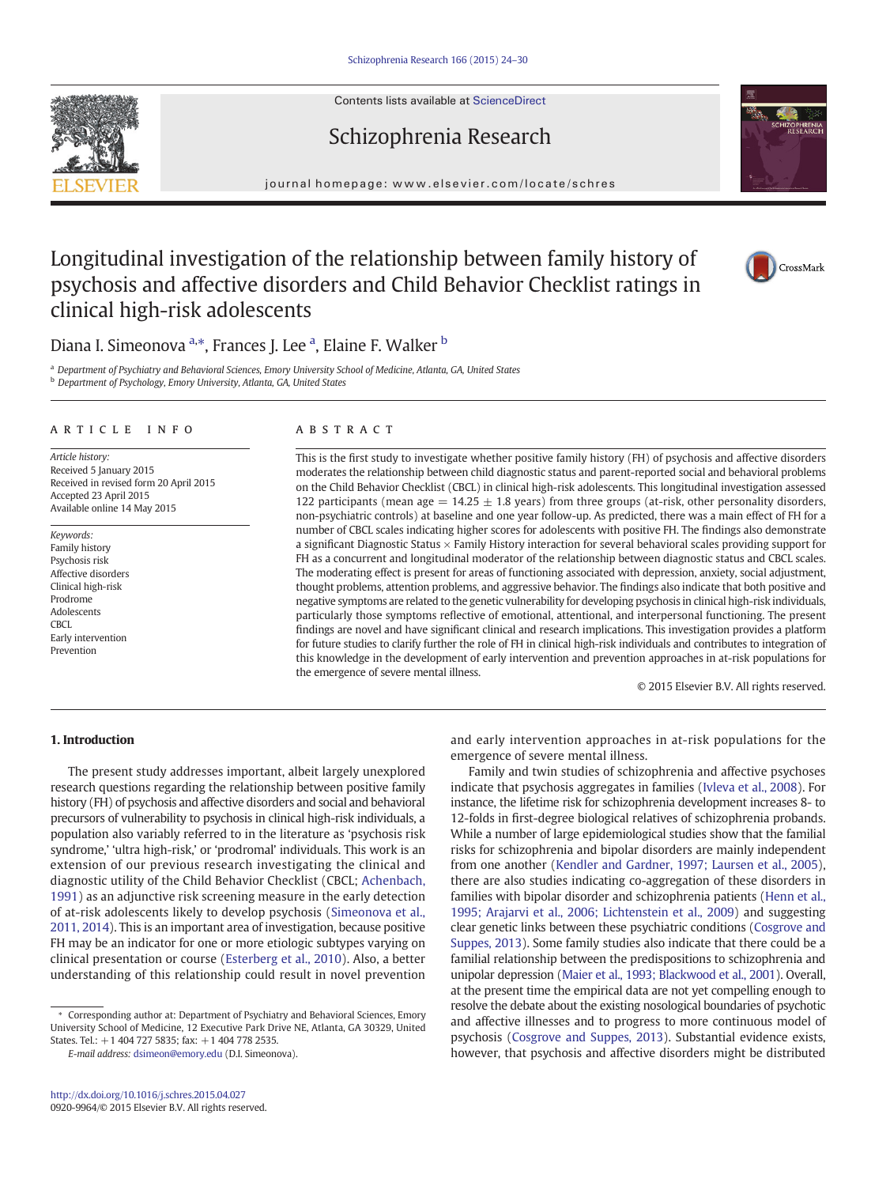Contents lists available at ScienceDirect





journal homepage:<www.elsevier.com/locate/schres>



## Longitudinal investigation of the relationship between family history of psychosis and affective disorders and Child Behavior Checklist ratings in clinical high-risk adolescents



Diana I. Simeonova <sup>a,\*</sup>, Frances J. Lee <sup>a</sup>, Elaine F. Walker <sup>b</sup>

a Department of Psychiatry and Behavioral Sciences, Emory University School of Medicine, Atlanta, GA, United States **b** Department of Psychology, Emory University, Atlanta, GA, United States

#### article info abstract

Article history: Received 5 January 2015 Received in revised form 20 April 2015 Accepted 23 April 2015 Available online 14 May 2015

Keywords: Family history Psychosis risk Affective disorders Clinical high-risk Prodrome Adolescents CBCL Early intervention Prevention

This is the first study to investigate whether positive family history (FH) of psychosis and affective disorders moderates the relationship between child diagnostic status and parent-reported social and behavioral problems on the Child Behavior Checklist (CBCL) in clinical high-risk adolescents. This longitudinal investigation assessed 122 participants (mean age  $= 14.25 \pm 1.8$  years) from three groups (at-risk, other personality disorders, non-psychiatric controls) at baseline and one year follow-up. As predicted, there was a main effect of FH for a number of CBCL scales indicating higher scores for adolescents with positive FH. The findings also demonstrate a significant Diagnostic Status  $\times$  Family History interaction for several behavioral scales providing support for FH as a concurrent and longitudinal moderator of the relationship between diagnostic status and CBCL scales. The moderating effect is present for areas of functioning associated with depression, anxiety, social adjustment, thought problems, attention problems, and aggressive behavior. The findings also indicate that both positive and negative symptoms are related to the genetic vulnerability for developing psychosis in clinical high-risk individuals, particularly those symptoms reflective of emotional, attentional, and interpersonal functioning. The present findings are novel and have significant clinical and research implications. This investigation provides a platform for future studies to clarify further the role of FH in clinical high-risk individuals and contributes to integration of this knowledge in the development of early intervention and prevention approaches in at-risk populations for the emergence of severe mental illness.

© 2015 Elsevier B.V. All rights reserved.

### 1. Introduction

The present study addresses important, albeit largely unexplored research questions regarding the relationship between positive family history (FH) of psychosis and affective disorders and social and behavioral precursors of vulnerability to psychosis in clinical high-risk individuals, a population also variably referred to in the literature as 'psychosis risk syndrome,' 'ultra high-risk,' or 'prodromal' individuals. This work is an extension of our previous research investigating the clinical and diagnostic utility of the Child Behavior Checklist (CBCL; [Achenbach,](#page--1-0) [1991](#page--1-0)) as an adjunctive risk screening measure in the early detection of at-risk adolescents likely to develop psychosis ([Simeonova et al.,](#page--1-0) [2011, 2014\)](#page--1-0). This is an important area of investigation, because positive FH may be an indicator for one or more etiologic subtypes varying on clinical presentation or course ([Esterberg et al., 2010\)](#page--1-0). Also, a better understanding of this relationship could result in novel prevention

⁎ Corresponding author at: Department of Psychiatry and Behavioral Sciences, Emory University School of Medicine, 12 Executive Park Drive NE, Atlanta, GA 30329, United States. Tel.: +1 404 727 5835; fax: +1 404 778 2535.

E-mail address: [dsimeon@emory.edu](mailto:dsimeon@emory.edu) (D.I. Simeonova).

and early intervention approaches in at-risk populations for the emergence of severe mental illness.

Family and twin studies of schizophrenia and affective psychoses indicate that psychosis aggregates in families ([Ivleva et al., 2008\)](#page--1-0). For instance, the lifetime risk for schizophrenia development increases 8- to 12-folds in first-degree biological relatives of schizophrenia probands. While a number of large epidemiological studies show that the familial risks for schizophrenia and bipolar disorders are mainly independent from one another [\(Kendler and Gardner, 1997; Laursen et al., 2005](#page--1-0)), there are also studies indicating co-aggregation of these disorders in families with bipolar disorder and schizophrenia patients [\(Henn et al.,](#page--1-0) [1995; Arajarvi et al., 2006; Lichtenstein et al., 2009](#page--1-0)) and suggesting clear genetic links between these psychiatric conditions ([Cosgrove and](#page--1-0) [Suppes, 2013](#page--1-0)). Some family studies also indicate that there could be a familial relationship between the predispositions to schizophrenia and unipolar depression [\(Maier et al., 1993; Blackwood et al., 2001](#page--1-0)). Overall, at the present time the empirical data are not yet compelling enough to resolve the debate about the existing nosological boundaries of psychotic and affective illnesses and to progress to more continuous model of psychosis ([Cosgrove and Suppes, 2013](#page--1-0)). Substantial evidence exists, however, that psychosis and affective disorders might be distributed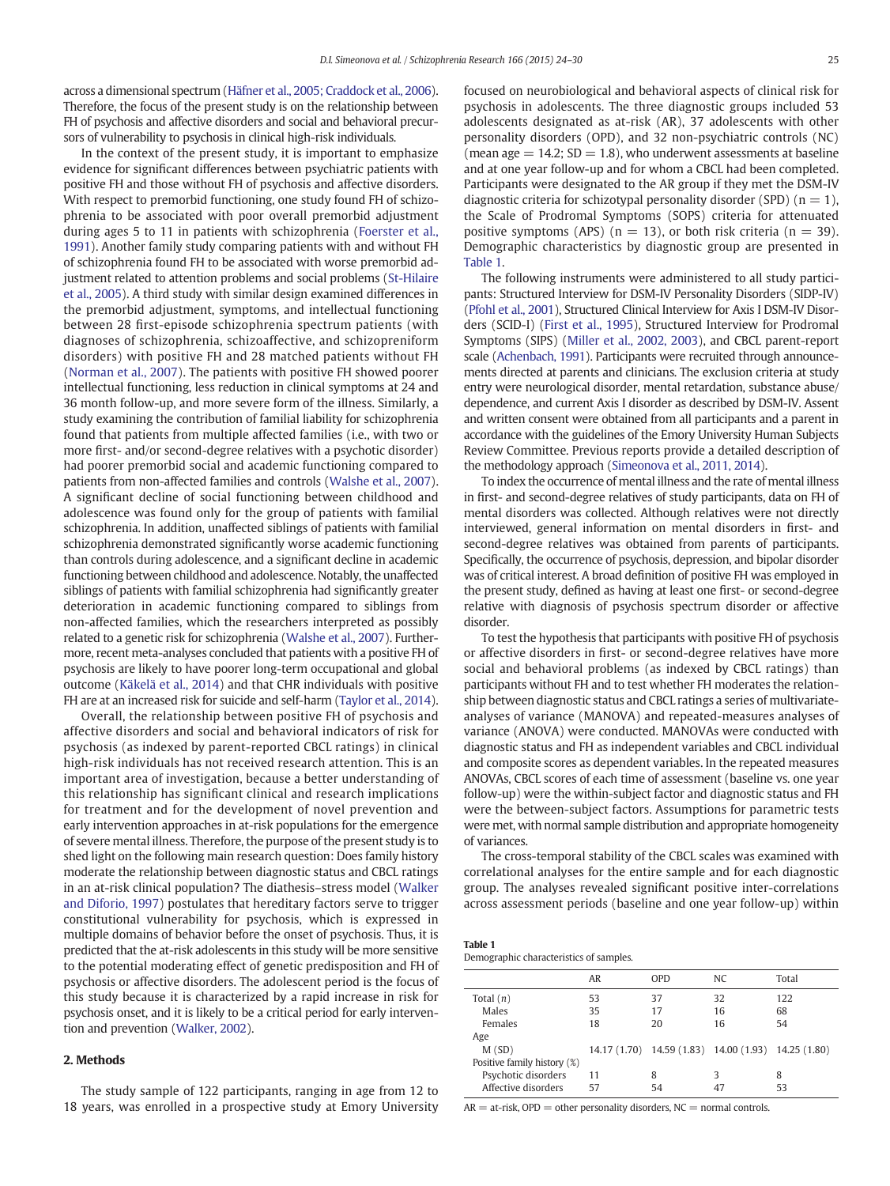across a dimensional spectrum [\(Häfner et al., 2005; Craddock et al., 2006](#page--1-0)). Therefore, the focus of the present study is on the relationship between FH of psychosis and affective disorders and social and behavioral precursors of vulnerability to psychosis in clinical high-risk individuals.

In the context of the present study, it is important to emphasize evidence for significant differences between psychiatric patients with positive FH and those without FH of psychosis and affective disorders. With respect to premorbid functioning, one study found FH of schizophrenia to be associated with poor overall premorbid adjustment during ages 5 to 11 in patients with schizophrenia [\(Foerster et al.,](#page--1-0) [1991\)](#page--1-0). Another family study comparing patients with and without FH of schizophrenia found FH to be associated with worse premorbid adjustment related to attention problems and social problems ([St-Hilaire](#page--1-0) [et al., 2005](#page--1-0)). A third study with similar design examined differences in the premorbid adjustment, symptoms, and intellectual functioning between 28 first-episode schizophrenia spectrum patients (with diagnoses of schizophrenia, schizoaffective, and schizopreniform disorders) with positive FH and 28 matched patients without FH [\(Norman et al., 2007](#page--1-0)). The patients with positive FH showed poorer intellectual functioning, less reduction in clinical symptoms at 24 and 36 month follow-up, and more severe form of the illness. Similarly, a study examining the contribution of familial liability for schizophrenia found that patients from multiple affected families (i.e., with two or more first- and/or second-degree relatives with a psychotic disorder) had poorer premorbid social and academic functioning compared to patients from non-affected families and controls ([Walshe et al., 2007](#page--1-0)). A significant decline of social functioning between childhood and adolescence was found only for the group of patients with familial schizophrenia. In addition, unaffected siblings of patients with familial schizophrenia demonstrated significantly worse academic functioning than controls during adolescence, and a significant decline in academic functioning between childhood and adolescence. Notably, the unaffected siblings of patients with familial schizophrenia had significantly greater deterioration in academic functioning compared to siblings from non-affected families, which the researchers interpreted as possibly related to a genetic risk for schizophrenia ([Walshe et al., 2007](#page--1-0)). Furthermore, recent meta-analyses concluded that patients with a positive FH of psychosis are likely to have poorer long-term occupational and global outcome [\(Käkelä et al., 2014\)](#page--1-0) and that CHR individuals with positive FH are at an increased risk for suicide and self-harm [\(Taylor et al., 2014](#page--1-0)).

Overall, the relationship between positive FH of psychosis and affective disorders and social and behavioral indicators of risk for psychosis (as indexed by parent-reported CBCL ratings) in clinical high-risk individuals has not received research attention. This is an important area of investigation, because a better understanding of this relationship has significant clinical and research implications for treatment and for the development of novel prevention and early intervention approaches in at-risk populations for the emergence of severe mental illness. Therefore, the purpose of the present study is to shed light on the following main research question: Does family history moderate the relationship between diagnostic status and CBCL ratings in an at-risk clinical population? The diathesis–stress model [\(Walker](#page--1-0) [and Diforio, 1997\)](#page--1-0) postulates that hereditary factors serve to trigger constitutional vulnerability for psychosis, which is expressed in multiple domains of behavior before the onset of psychosis. Thus, it is predicted that the at-risk adolescents in this study will be more sensitive to the potential moderating effect of genetic predisposition and FH of psychosis or affective disorders. The adolescent period is the focus of this study because it is characterized by a rapid increase in risk for psychosis onset, and it is likely to be a critical period for early intervention and prevention [\(Walker, 2002\)](#page--1-0).

#### 2. Methods

The study sample of 122 participants, ranging in age from 12 to 18 years, was enrolled in a prospective study at Emory University focused on neurobiological and behavioral aspects of clinical risk for psychosis in adolescents. The three diagnostic groups included 53 adolescents designated as at-risk (AR), 37 adolescents with other personality disorders (OPD), and 32 non-psychiatric controls (NC) (mean age  $= 14.2$ ; SD  $= 1.8$ ), who underwent assessments at baseline and at one year follow-up and for whom a CBCL had been completed. Participants were designated to the AR group if they met the DSM-IV diagnostic criteria for schizotypal personality disorder (SPD) ( $n = 1$ ), the Scale of Prodromal Symptoms (SOPS) criteria for attenuated positive symptoms (APS) ( $n = 13$ ), or both risk criteria ( $n = 39$ ). Demographic characteristics by diagnostic group are presented in Table 1.

The following instruments were administered to all study participants: Structured Interview for DSM-IV Personality Disorders (SIDP-IV) [\(Pfohl et al., 2001\)](#page--1-0), Structured Clinical Interview for Axis I DSM-IV Disorders (SCID-I) ([First et al., 1995\)](#page--1-0), Structured Interview for Prodromal Symptoms (SIPS) ([Miller et al., 2002, 2003](#page--1-0)), and CBCL parent-report scale ([Achenbach, 1991\)](#page--1-0). Participants were recruited through announcements directed at parents and clinicians. The exclusion criteria at study entry were neurological disorder, mental retardation, substance abuse/ dependence, and current Axis I disorder as described by DSM-IV. Assent and written consent were obtained from all participants and a parent in accordance with the guidelines of the Emory University Human Subjects Review Committee. Previous reports provide a detailed description of the methodology approach ([Simeonova et al., 2011, 2014\)](#page--1-0).

To index the occurrence of mental illness and the rate of mental illness in first- and second-degree relatives of study participants, data on FH of mental disorders was collected. Although relatives were not directly interviewed, general information on mental disorders in first- and second-degree relatives was obtained from parents of participants. Specifically, the occurrence of psychosis, depression, and bipolar disorder was of critical interest. A broad definition of positive FH was employed in the present study, defined as having at least one first- or second-degree relative with diagnosis of psychosis spectrum disorder or affective disorder.

To test the hypothesis that participants with positive FH of psychosis or affective disorders in first- or second-degree relatives have more social and behavioral problems (as indexed by CBCL ratings) than participants without FH and to test whether FH moderates the relationship between diagnostic status and CBCL ratings a series of multivariateanalyses of variance (MANOVA) and repeated-measures analyses of variance (ANOVA) were conducted. MANOVAs were conducted with diagnostic status and FH as independent variables and CBCL individual and composite scores as dependent variables. In the repeated measures ANOVAs, CBCL scores of each time of assessment (baseline vs. one year follow-up) were the within-subject factor and diagnostic status and FH were the between-subject factors. Assumptions for parametric tests were met, with normal sample distribution and appropriate homogeneity of variances.

The cross-temporal stability of the CBCL scales was examined with correlational analyses for the entire sample and for each diagnostic group. The analyses revealed significant positive inter-correlations across assessment periods (baseline and one year follow-up) within

| Table |  |
|-------|--|
|-------|--|

Demographic characteristics of samples.

|                             | AR | <b>OPD</b>                                          | NC. | Total |
|-----------------------------|----|-----------------------------------------------------|-----|-------|
| Total $(n)$                 | 53 | 37                                                  | 32  | 122   |
| Males                       | 35 | 17                                                  | 16  | 68    |
| Females                     | 18 | 20                                                  | 16  | 54    |
| Age                         |    |                                                     |     |       |
| M(SD)                       |    | 14.17 (1.70) 14.59 (1.83) 14.00 (1.93) 14.25 (1.80) |     |       |
| Positive family history (%) |    |                                                     |     |       |
| Psychotic disorders         | 11 | 8                                                   | 3   | 8     |
| Affective disorders         | 57 | 54                                                  | 47  | 53    |

 $AR =$  at-risk,  $OPD =$  other personality disorders,  $NC =$  normal controls.